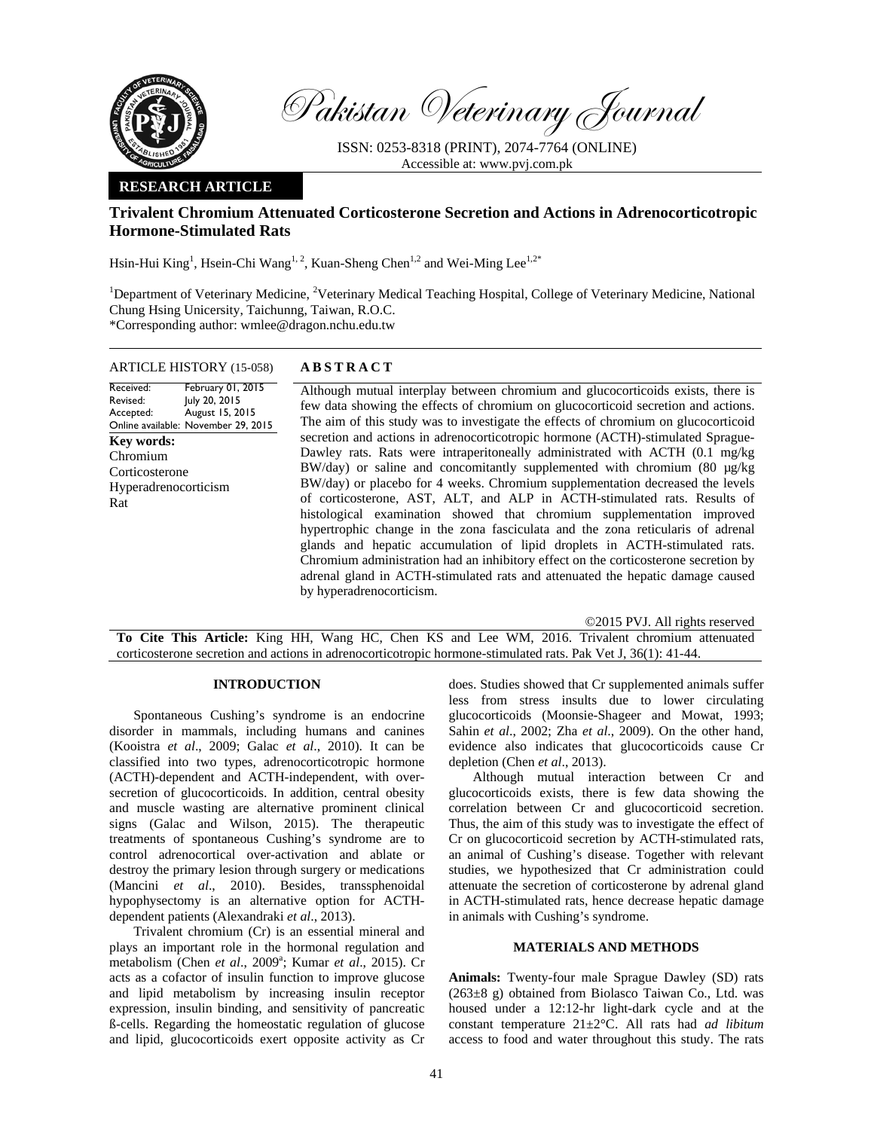

Pakistan Veterinary Journal

ISSN: 0253-8318 (PRINT), 2074-7764 (ONLINE) Accessible at: www.pvj.com.pk

## **RESEARCH ARTICLE**

# **Trivalent Chromium Attenuated Corticosterone Secretion and Actions in Adrenocorticotropic Hormone-Stimulated Rats**

Hsin-Hui King<sup>1</sup>, Hsein-Chi Wang<sup>1, 2</sup>, Kuan-Sheng Chen<sup>1,2</sup> and Wei-Ming Lee<sup>1,2\*</sup>

<sup>1</sup>Department of Veterinary Medicine, <sup>2</sup>Veterinary Medical Teaching Hospital, College of Veterinary Medicine, National Chung Hsing Unicersity, Taichunng, Taiwan, R.O.C. \*Corresponding author: wmlee@dragon.nchu.edu.tw

#### ARTICLE HISTORY (15-058) **ABSTRACT**

Received: Revised: Accepted: Online available: November 29, 2015 February 01, 2015 July 20, 2015 August 15, 2015 **Key words:**  Chromium Corticosterone Hyperadrenocorticism Rat

 Although mutual interplay between chromium and glucocorticoids exists, there is few data showing the effects of chromium on glucocorticoid secretion and actions. The aim of this study was to investigate the effects of chromium on glucocorticoid secretion and actions in adrenocorticotropic hormone (ACTH)-stimulated Sprague-Dawley rats. Rats were intraperitoneally administrated with ACTH (0.1 mg/kg BW/day) or saline and concomitantly supplemented with chromium (80 µg/kg) BW/day) or placebo for 4 weeks. Chromium supplementation decreased the levels of corticosterone, AST, ALT, and ALP in ACTH-stimulated rats. Results of histological examination showed that chromium supplementation improved hypertrophic change in the zona fasciculata and the zona reticularis of adrenal glands and hepatic accumulation of lipid droplets in ACTH-stimulated rats. Chromium administration had an inhibitory effect on the corticosterone secretion by adrenal gland in ACTH-stimulated rats and attenuated the hepatic damage caused by hyperadrenocorticism.

©2015 PVJ. All rights reserved **To Cite This Article:** King HH, Wang HC, Chen KS and Lee WM, 2016. Trivalent chromium attenuated corticosterone secretion and actions in adrenocorticotropic hormone-stimulated rats. Pak Vet J, 36(1): 41-44.

### **INTRODUCTION**

Spontaneous Cushing's syndrome is an endocrine disorder in mammals, including humans and canines (Kooistra *et al*., 2009; Galac *et al*., 2010). It can be classified into two types, adrenocorticotropic hormone (ACTH)-dependent and ACTH-independent, with oversecretion of glucocorticoids. In addition, central obesity and muscle wasting are alternative prominent clinical signs (Galac and Wilson, 2015). The therapeutic treatments of spontaneous Cushing's syndrome are to control adrenocortical over-activation and ablate or destroy the primary lesion through surgery or medications (Mancini *et al*., 2010). Besides, transsphenoidal hypophysectomy is an alternative option for ACTHdependent patients (Alexandraki *et al*., 2013).

Trivalent chromium (Cr) is an essential mineral and plays an important role in the hormonal regulation and metabolism (Chen et al., 2009<sup>a</sup>; Kumar et al., 2015). Cr acts as a cofactor of insulin function to improve glucose and lipid metabolism by increasing insulin receptor expression, insulin binding, and sensitivity of pancreatic ß-cells. Regarding the homeostatic regulation of glucose and lipid, glucocorticoids exert opposite activity as Cr

does. Studies showed that Cr supplemented animals suffer less from stress insults due to lower circulating glucocorticoids (Moonsie-Shageer and Mowat, 1993; Sahin *et al*., 2002; Zha *et al*., 2009). On the other hand, evidence also indicates that glucocorticoids cause Cr depletion (Chen *et al*., 2013).

Although mutual interaction between Cr and glucocorticoids exists, there is few data showing the correlation between Cr and glucocorticoid secretion. Thus, the aim of this study was to investigate the effect of Cr on glucocorticoid secretion by ACTH-stimulated rats, an animal of Cushing's disease. Together with relevant studies, we hypothesized that Cr administration could attenuate the secretion of corticosterone by adrenal gland in ACTH-stimulated rats, hence decrease hepatic damage in animals with Cushing's syndrome.

#### **MATERIALS AND METHODS**

**Animals:** Twenty-four male Sprague Dawley (SD) rats  $(263±8 \text{ g})$  obtained from Biolasco Taiwan Co., Ltd. was housed under a 12:12-hr light-dark cycle and at the constant temperature 21±2°C. All rats had *ad libitum* access to food and water throughout this study. The rats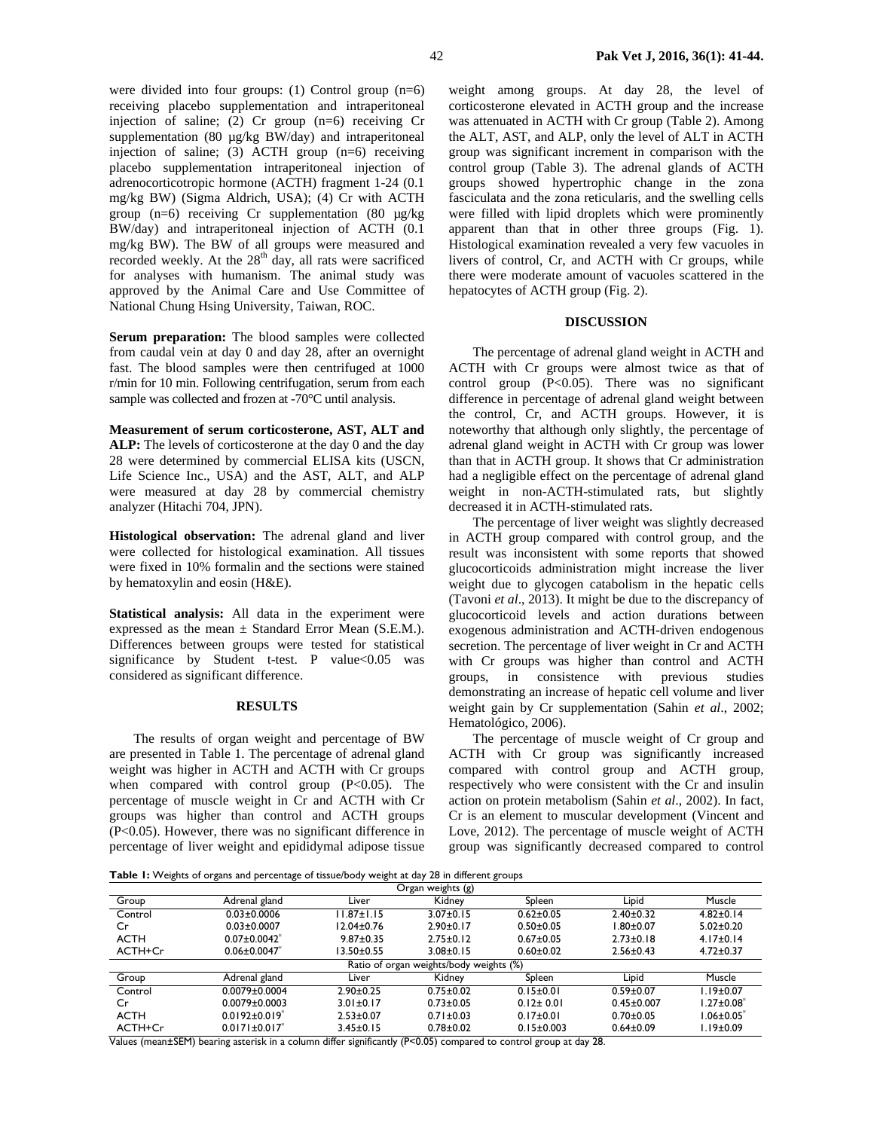were divided into four groups: (1) Control group (n=6) receiving placebo supplementation and intraperitoneal injection of saline; (2) Cr group (n=6) receiving Cr supplementation (80 µg/kg BW/day) and intraperitoneal injection of saline; (3) ACTH group (n=6) receiving placebo supplementation intraperitoneal injection of adrenocorticotropic hormone (ACTH) fragment 1-24 (0.1 mg/kg BW) (Sigma Aldrich, USA); (4) Cr with ACTH group (n=6) receiving Cr supplementation (80 µg/kg BW/day) and intraperitoneal injection of ACTH (0.1 mg/kg BW). The BW of all groups were measured and recorded weekly. At the  $28<sup>th</sup>$  day, all rats were sacrificed for analyses with humanism. The animal study was approved by the Animal Care and Use Committee of National Chung Hsing University, Taiwan, ROC.

**Serum preparation:** The blood samples were collected from caudal vein at day 0 and day 28, after an overnight fast. The blood samples were then centrifuged at 1000 r/min for 10 min. Following centrifugation, serum from each sample was collected and frozen at -70°C until analysis.

**Measurement of serum corticosterone, AST, ALT and ALP:** The levels of corticosterone at the day 0 and the day 28 were determined by commercial ELISA kits (USCN, Life Science Inc., USA) and the AST, ALT, and ALP were measured at day 28 by commercial chemistry analyzer (Hitachi 704, JPN).

**Histological observation:** The adrenal gland and liver were collected for histological examination. All tissues were fixed in 10% formalin and the sections were stained by hematoxylin and eosin (H&E).

**Statistical analysis:** All data in the experiment were expressed as the mean  $\pm$  Standard Error Mean (S.E.M.). Differences between groups were tested for statistical significance by Student t-test. P value $< 0.05$  was considered as significant difference.

## **RESULTS**

The results of organ weight and percentage of BW are presented in Table 1. The percentage of adrenal gland weight was higher in ACTH and ACTH with Cr groups when compared with control group (P<0.05). The percentage of muscle weight in Cr and ACTH with Cr groups was higher than control and ACTH groups (P<0.05). However, there was no significant difference in percentage of liver weight and epididymal adipose tissue weight among groups. At day 28, the level of corticosterone elevated in ACTH group and the increase was attenuated in ACTH with Cr group (Table 2). Among the ALT, AST, and ALP, only the level of ALT in ACTH group was significant increment in comparison with the control group (Table 3). The adrenal glands of ACTH groups showed hypertrophic change in the zona fasciculata and the zona reticularis, and the swelling cells were filled with lipid droplets which were prominently apparent than that in other three groups (Fig. 1). Histological examination revealed a very few vacuoles in livers of control, Cr, and ACTH with Cr groups, while there were moderate amount of vacuoles scattered in the hepatocytes of ACTH group (Fig. 2).

## **DISCUSSION**

The percentage of adrenal gland weight in ACTH and ACTH with Cr groups were almost twice as that of control group  $(P<0.05)$ . There was no significant difference in percentage of adrenal gland weight between the control, Cr, and ACTH groups. However, it is noteworthy that although only slightly, the percentage of adrenal gland weight in ACTH with Cr group was lower than that in ACTH group. It shows that Cr administration had a negligible effect on the percentage of adrenal gland weight in non-ACTH-stimulated rats, but slightly decreased it in ACTH-stimulated rats.

The percentage of liver weight was slightly decreased in ACTH group compared with control group, and the result was inconsistent with some reports that showed glucocorticoids administration might increase the liver weight due to glycogen catabolism in the hepatic cells (Tavoni *et al*., 2013). It might be due to the discrepancy of glucocorticoid levels and action durations between exogenous administration and ACTH-driven endogenous secretion. The percentage of liver weight in Cr and ACTH with Cr groups was higher than control and ACTH groups, in consistence with previous studies demonstrating an increase of hepatic cell volume and liver weight gain by Cr supplementation (Sahin *et al*., 2002; Hematológico, 2006).

The percentage of muscle weight of Cr group and ACTH with Cr group was significantly increased compared with control group and ACTH group, respectively who were consistent with the Cr and insulin action on protein metabolism (Sahin *et al*., 2002). In fact, Cr is an element to muscular development (Vincent and Love, 2012). The percentage of muscle weight of ACTH group was significantly decreased compared to control

**Table 1:** Weights of organs and percentage of tissue/body weight at day 28 in different groups

| $\tilde{}$<br>ັ<br>Organ weights (g)    |                                 |                  |                 |                  |                  |                   |  |  |
|-----------------------------------------|---------------------------------|------------------|-----------------|------------------|------------------|-------------------|--|--|
| Group                                   | Adrenal gland                   | Liver            | Kidney          | Spleen           | Lipid            | Muscle            |  |  |
| Control                                 | $0.03 \pm 0.0006$               | $1.87 \pm 1.15$  | $3.07 \pm 0.15$ | $0.62 \pm 0.05$  | $2.40 \pm 0.32$  | $4.82 \pm 0.14$   |  |  |
| Cr                                      | $0.03 \pm 0.0007$               | $12.04 \pm 0.76$ | $2.90 \pm 0.17$ | $0.50 + 0.05$    | $1.80 \pm 0.07$  | $5.02 \pm 0.20$   |  |  |
| <b>ACTH</b>                             | $0.07 \pm 0.0042$               | $9.87 \pm 0.35$  | $2.75 \pm 0.12$ | $0.67 + 0.05$    | $2.73 \pm 0.18$  | $4.17 \pm 0.14$   |  |  |
| ACTH+Cr                                 | $0.06 \pm 0.0047$               | 13.50±0.55       | $3.08 \pm 0.15$ | $0.60 \pm 0.02$  | $2.56 \pm 0.43$  | $4.72 \pm 0.37$   |  |  |
| Ratio of organ weights/body weights (%) |                                 |                  |                 |                  |                  |                   |  |  |
| Group                                   | Adrenal gland                   | Liver            | Kidney          | Spleen           | Lipid            | Muscle            |  |  |
| Control                                 | $0.0079 \pm 0.0004$             | $2.90 \pm 0.25$  | $0.75 \pm 0.02$ | $0.15 \pm 0.01$  | $0.59 + 0.07$    | I.19±0.07         |  |  |
| Cr                                      | $0.0079 \pm 0.0003$             | $3.01 \pm 0.17$  | $0.73 \pm 0.05$ | $0.12 \pm 0.01$  | $0.45 \pm 0.007$ | $1.27{\pm}0.08^*$ |  |  |
| <b>ACTH</b>                             | $0.0192 \pm 0.019$ <sup>*</sup> | $2.53 \pm 0.07$  | $0.71 \pm 0.03$ | $0.17 \pm 0.01$  | $0.70 \pm 0.05$  | $1.06 \pm 0.05^*$ |  |  |
| ACTH+Cr                                 | $0.0171 \pm 0.017$              | $3.45 \pm 0.15$  | $0.78 + 0.02$   | $0.15 \pm 0.003$ | $0.64 \pm 0.09$  | $1.19 \pm 0.09$   |  |  |

Values (mean±SEM) bearing asterisk in a column differ significantly (P<0.05) compared to control group at day 28.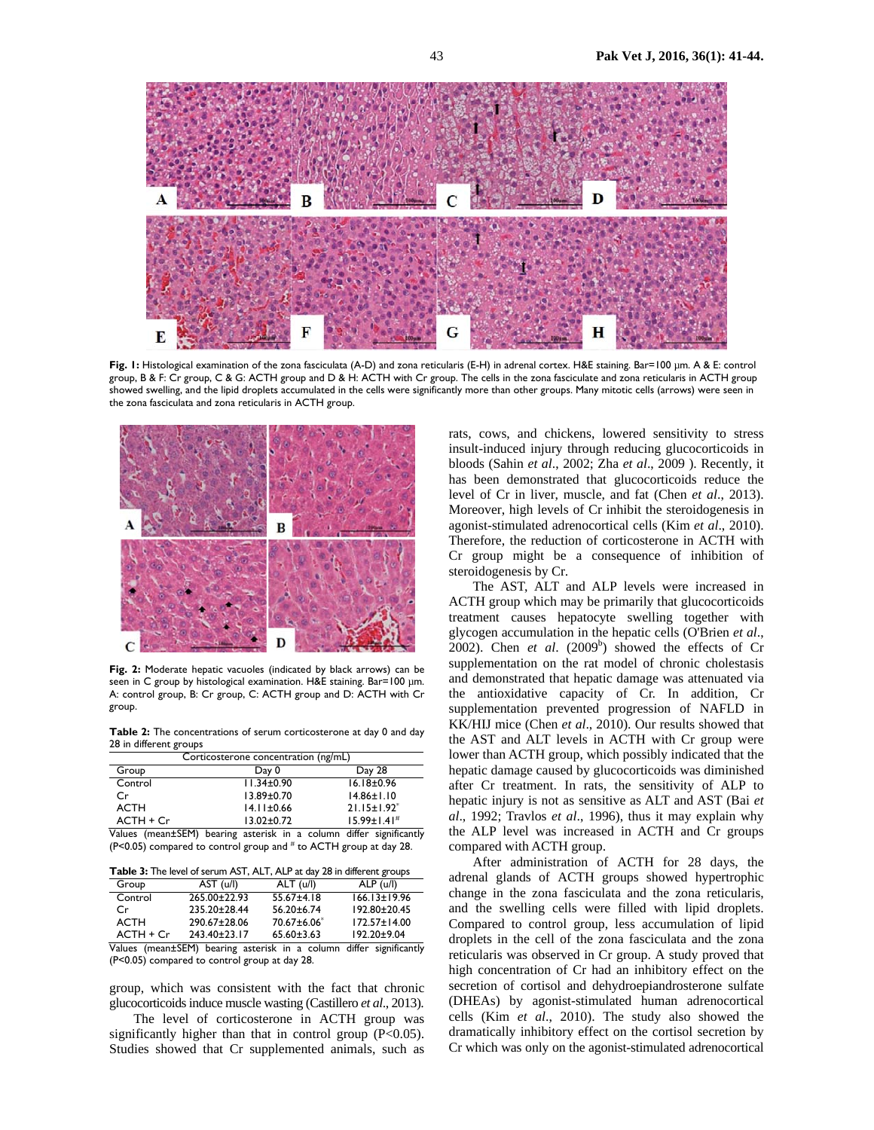

**Fig. 1:** Histological examination of the zona fasciculata (A-D) and zona reticularis (E-H) in adrenal cortex. H&E staining. Bar=100 µm. A & E: control group, B & F: Cr group, C & G: ACTH group and D & H: ACTH with Cr group. The cells in the zona fasciculate and zona reticularis in ACTH group showed swelling, and the lipid droplets accumulated in the cells were significantly more than other groups. Many mitotic cells (arrows) were seen in the zona fasciculata and zona reticularis in ACTH group.



**Fig. 2:** Moderate hepatic vacuoles (indicated by black arrows) can be seen in C group by histological examination. H&E staining. Bar=100 µm. A: control group, B: Cr group, C: ACTH group and D: ACTH with Cr group.

**Table 2:** The concentrations of serum corticosterone at day 0 and day 28 in different groups

| Corticosterone concentration (ng/mL) |                  |                               |  |  |  |
|--------------------------------------|------------------|-------------------------------|--|--|--|
| Group                                | Day 0            | Day 28                        |  |  |  |
| Control                              | $11.34 \pm 0.90$ | $16.18 \pm 0.96$              |  |  |  |
| Cr                                   | $13.89 \pm 0.70$ | $14.86 \pm 1.10$              |  |  |  |
| ACTH                                 | $14.11 \pm 0.66$ | $21.15 \pm 1.92$ <sup>*</sup> |  |  |  |
| $ACTH + Cr$                          | $13.02 \pm 0.72$ | $15.99 \pm 1.41$ <sup>#</sup> |  |  |  |

Values (mean±SEM) bearing asterisk in a column differ significantly  $(P<0.05)$  compared to control group and  $#$  to ACTH group at day 28.

**Table 3:** The level of serum AST, ALT, ALP at day 28 in different groups

| Group       | AST (u/l)    | ALT (u/l)               | ALP (u/l)                                                           |
|-------------|--------------|-------------------------|---------------------------------------------------------------------|
| Control     | 265.00±22.93 | $55.67 \pm 4.18$        | $166.13 \pm 19.96$                                                  |
| Cr          | 235.20±28.44 | $56.20 \pm 6.74$        | 192.80±20.45                                                        |
| ACTH        | 290.67±28.06 | 70.67±6.06 <sup>*</sup> | $172.57 \pm 14.00$                                                  |
| $ACTH + Cr$ | 243.40±23.17 | $65.60 \pm 3.63$        | 192.20±9.04                                                         |
|             |              |                         | Values (mean±SEM) bearing asterisk in a column differ significantly |

(P<0.05) compared to control group at day 28.

group, which was consistent with the fact that chronic glucocorticoids induce muscle wasting (Castillero *et al*., 2013).

The level of corticosterone in ACTH group was significantly higher than that in control group (P<0.05). Studies showed that Cr supplemented animals, such as

rats, cows, and chickens, lowered sensitivity to stress insult-induced injury through reducing glucocorticoids in bloods (Sahin *et al*., 2002; Zha *et al*., 2009 ). Recently, it has been demonstrated that glucocorticoids reduce the level of Cr in liver, muscle, and fat (Chen *et al*., 2013). Moreover, high levels of Cr inhibit the steroidogenesis in agonist-stimulated adrenocortical cells (Kim *et al*., 2010). Therefore, the reduction of corticosterone in ACTH with Cr group might be a consequence of inhibition of steroidogenesis by Cr.

The AST, ALT and ALP levels were increased in ACTH group which may be primarily that glucocorticoids treatment causes hepatocyte swelling together with glycogen accumulation in the hepatic cells (O'Brien *et al*., 2002). Chen *et al.*  $(2009^b)$  showed the effects of Cr supplementation on the rat model of chronic cholestasis and demonstrated that hepatic damage was attenuated via the antioxidative capacity of Cr. In addition, Cr supplementation prevented progression of NAFLD in KK/HIJ mice (Chen *et al*., 2010). Our results showed that the AST and ALT levels in ACTH with Cr group were lower than ACTH group, which possibly indicated that the hepatic damage caused by glucocorticoids was diminished after Cr treatment. In rats, the sensitivity of ALP to hepatic injury is not as sensitive as ALT and AST (Bai *et al*., 1992; Travlos *et al*., 1996), thus it may explain why the ALP level was increased in ACTH and Cr groups compared with ACTH group.

After administration of ACTH for 28 days, the adrenal glands of ACTH groups showed hypertrophic change in the zona fasciculata and the zona reticularis, and the swelling cells were filled with lipid droplets. Compared to control group, less accumulation of lipid droplets in the cell of the zona fasciculata and the zona reticularis was observed in Cr group. A study proved that high concentration of Cr had an inhibitory effect on the secretion of cortisol and dehydroepiandrosterone sulfate (DHEAs) by agonist-stimulated human adrenocortical cells (Kim *et al*., 2010). The study also showed the dramatically inhibitory effect on the cortisol secretion by Cr which was only on the agonist-stimulated adrenocortical